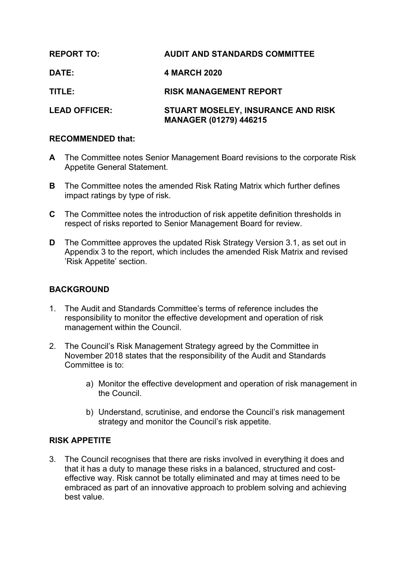| <b>REPORT TO:</b>    | <b>AUDIT AND STANDARDS COMMITTEE</b>                                       |
|----------------------|----------------------------------------------------------------------------|
| DATE:                | 4 MARCH 2020                                                               |
| TITLE:               | <b>RISK MANAGEMENT REPORT</b>                                              |
| <b>LEAD OFFICER:</b> | <b>STUART MOSELEY, INSURANCE AND RISK</b><br><b>MANAGER (01279) 446215</b> |

## **RECOMMENDED that:**

- **A** The Committee notes Senior Management Board revisions to the corporate Risk Appetite General Statement.
- **B** The Committee notes the amended Risk Rating Matrix which further defines impact ratings by type of risk.
- **C** The Committee notes the introduction of risk appetite definition thresholds in respect of risks reported to Senior Management Board for review.
- **D** The Committee approves the updated Risk Strategy Version 3.1, as set out in Appendix 3 to the report, which includes the amended Risk Matrix and revised 'Risk Appetite' section.

# **BACKGROUND**

- 1. The Audit and Standards Committee's terms of reference includes the responsibility to monitor the effective development and operation of risk management within the Council.
- 2. The Council's Risk Management Strategy agreed by the Committee in November 2018 states that the responsibility of the Audit and Standards Committee is to:
	- a) Monitor the effective development and operation of risk management in the Council.
	- b) Understand, scrutinise, and endorse the Council's risk management strategy and monitor the Council's risk appetite.

# **RISK APPETITE**

3. The Council recognises that there are risks involved in everything it does and that it has a duty to manage these risks in a balanced, structured and costeffective way. Risk cannot be totally eliminated and may at times need to be embraced as part of an innovative approach to problem solving and achieving best value.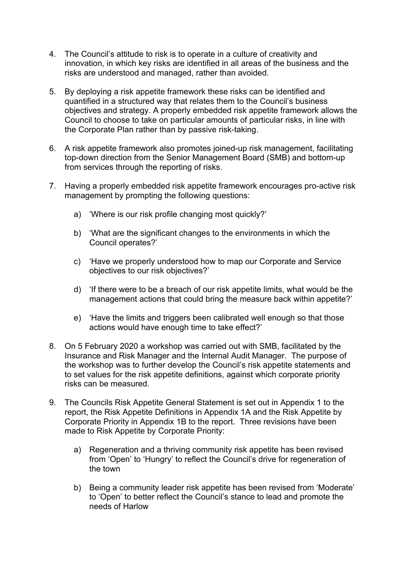- 4. The Council's attitude to risk is to operate in a culture of creativity and innovation, in which key risks are identified in all areas of the business and the risks are understood and managed, rather than avoided.
- 5. By deploying a risk appetite framework these risks can be identified and quantified in a structured way that relates them to the Council's business objectives and strategy. A properly embedded risk appetite framework allows the Council to choose to take on particular amounts of particular risks, in line with the Corporate Plan rather than by passive risk-taking.
- 6. A risk appetite framework also promotes joined-up risk management, facilitating top-down direction from the Senior Management Board (SMB) and bottom-up from services through the reporting of risks.
- 7. Having a properly embedded risk appetite framework encourages pro-active risk management by prompting the following questions:
	- a) 'Where is our risk profile changing most quickly?'
	- b) 'What are the significant changes to the environments in which the Council operates?'
	- c) 'Have we properly understood how to map our Corporate and Service objectives to our risk objectives?'
	- d) 'If there were to be a breach of our risk appetite limits, what would be the management actions that could bring the measure back within appetite?'
	- e) 'Have the limits and triggers been calibrated well enough so that those actions would have enough time to take effect?'
- 8. On 5 February 2020 a workshop was carried out with SMB, facilitated by the Insurance and Risk Manager and the Internal Audit Manager. The purpose of the workshop was to further develop the Council's risk appetite statements and to set values for the risk appetite definitions, against which corporate priority risks can be measured.
- 9. The Councils Risk Appetite General Statement is set out in Appendix 1 to the report, the Risk Appetite Definitions in Appendix 1A and the Risk Appetite by Corporate Priority in Appendix 1B to the report. Three revisions have been made to Risk Appetite by Corporate Priority:
	- a) Regeneration and a thriving community risk appetite has been revised from 'Open' to 'Hungry' to reflect the Council's drive for regeneration of the town
	- b) Being a community leader risk appetite has been revised from 'Moderate' to 'Open' to better reflect the Council's stance to lead and promote the needs of Harlow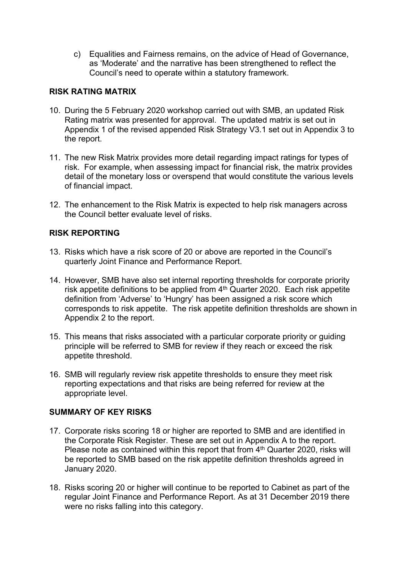c) Equalities and Fairness remains, on the advice of Head of Governance, as 'Moderate' and the narrative has been strengthened to reflect the Council's need to operate within a statutory framework.

## **RISK RATING MATRIX**

- 10. During the 5 February 2020 workshop carried out with SMB, an updated Risk Rating matrix was presented for approval. The updated matrix is set out in Appendix 1 of the revised appended Risk Strategy V3.1 set out in Appendix 3 to the report.
- 11. The new Risk Matrix provides more detail regarding impact ratings for types of risk. For example, when assessing impact for financial risk, the matrix provides detail of the monetary loss or overspend that would constitute the various levels of financial impact.
- 12. The enhancement to the Risk Matrix is expected to help risk managers across the Council better evaluate level of risks.

### **RISK REPORTING**

- 13. Risks which have a risk score of 20 or above are reported in the Council's quarterly Joint Finance and Performance Report.
- 14. However, SMB have also set internal reporting thresholds for corporate priority risk appetite definitions to be applied from 4<sup>th</sup> Quarter 2020. Each risk appetite definition from 'Adverse' to 'Hungry' has been assigned a risk score which corresponds to risk appetite. The risk appetite definition thresholds are shown in Appendix 2 to the report.
- 15. This means that risks associated with a particular corporate priority or guiding principle will be referred to SMB for review if they reach or exceed the risk appetite threshold.
- 16. SMB will regularly review risk appetite thresholds to ensure they meet risk reporting expectations and that risks are being referred for review at the appropriate level.

## **SUMMARY OF KEY RISKS**

- 17. Corporate risks scoring 18 or higher are reported to SMB and are identified in the Corporate Risk Register. These are set out in Appendix A to the report. Please note as contained within this report that from 4<sup>th</sup> Quarter 2020, risks will be reported to SMB based on the risk appetite definition thresholds agreed in January 2020.
- 18. Risks scoring 20 or higher will continue to be reported to Cabinet as part of the regular Joint Finance and Performance Report. As at 31 December 2019 there were no risks falling into this category.